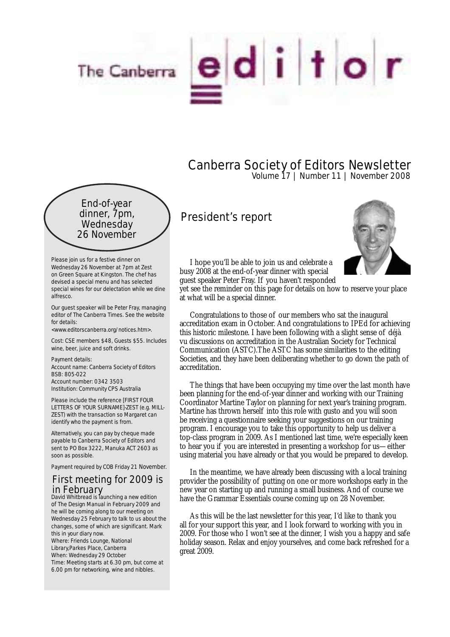

## Canberra Society of Editors Newsletter Volume 17 | Number 11 | November 2008

End-of-year dinner, 7pm, **Wednesday** 26 November

Please join us for a festive dinner on Wednesday 26 November at 7pm at Zest on Green Square at Kingston. The chef has devised a special menu and has selected special wines for our delectation while we dine alfresco.

Our guest speaker will be Peter Fray, managing editor of The Canberra Times. See the website for details:

<www.editorscanberra.org/notices.htm>.

Cost: CSE members \$48, Guests \$55. Includes wine, beer, juice and soft drinks.

Payment details: Account name: Canberra Society of Editors BSB: 805-022 Account number: 0342 3503 Institution: Community CPS Australia

Please include the reference [FIRST FOUR LETTERS OF YOUR SURNAME]-ZEST (e.g. MILL-ZEST) with the transaction so Margaret can identify who the payment is from.

Alternatively, you can pay by cheque made payable to Canberra Society of Editors and sent to PO Box 3222, Manuka ACT 2603 as soon as possible.

Payment required by COB Friday 21 November.

## First meeting for 2009 is in February David Whitbread is launching a new edition

of The Design Manual in February 2009 and he will be coming along to our meeting on Wednesday 25 February to talk to us about the changes, some of which are significant. Mark this in your diary now. Where: Friends Lounge, National Library,Parkes Place, Canberra When: Wednesday 29 October Time: Meeting starts at 6.30 pm, but come at 6.00 pm for networking, wine and nibbles.

## President's report



I hope you'll be able to join us and celebrate a busy 2008 at the end-of-year dinner with special guest speaker Peter Fray. If you haven't responded

yet see the reminder on this page for details on how to reserve your place at what will be a special dinner.

Congratulations to those of our members who sat the inaugural accreditation exam in October. And congratulations to IPEd for achieving this historic milestone. I have been following with a slight sense of déjà vu discussions on accreditation in the Australian Society for Technical Communication (ASTC).The ASTC has some similarities to the editing Societies, and they have been deliberating whether to go down the path of accreditation.

The things that have been occupying my time over the last month have been planning for the end-of-year dinner and working with our Training Coordinator Martine Taylor on planning for next year's training program. Martine has thrown herself into this role with gusto and you will soon be receiving a questionnaire seeking your suggestions on our training program. I encourage you to take this opportunity to help us deliver a top-class program in 2009. As I mentioned last time, we're especially keen to hear you if you are interested in presenting a workshop for us—either using material you have already or that you would be prepared to develop.

In the meantime, we have already been discussing with a local training provider the possibility of putting on one or more workshops early in the new year on starting up and running a small business. And of course we have the Grammar Essentials course coming up on 28 November.

As this will be the last newsletter for this year, I'd like to thank you all for your support this year, and I look forward to working with you in 2009. For those who I won't see at the dinner, I wish you a happy and safe holiday season. Relax and enjoy yourselves, and come back refreshed for a great 2009.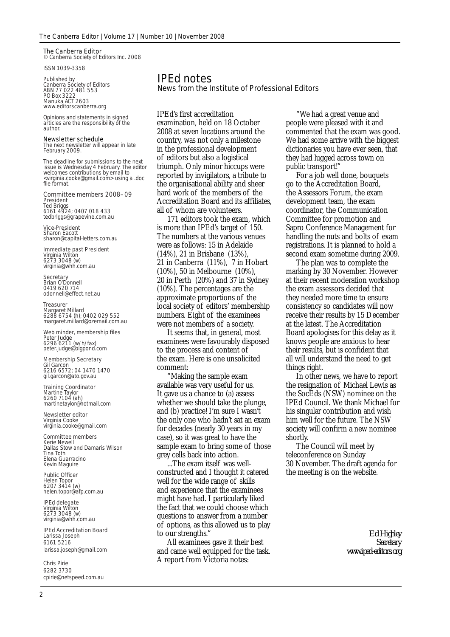#### The Canberra Editor © Canberra Society of Editors Inc. 2008

ISSN 1039-3358

Published by Canberra Society of Editors ABN 77 022 481 553 PO Box 3222 Manuka ACT 2603 www.editorscanberra.org

Opinions and statements in signed articles are the responsibility of the author.

#### Newsletter schedule

The next newsletter will appear in late February 2009.

The deadline for submissions to the next issue is Wednesday 4 February. The editor welcomes contributions by email to <virginia.cooke@gmail.com> using a .doc file format.

## Committee members 2008–09 **President**<br>Ted Briggs<br>6161 4924; 0407 018 433

tedbriggs@grapevine.com.au

Vice-President Sharon Eacott sharon@capital-letters.com.au

Immediate past President Virginia Wilton<br>6273 3048 (w) virginia@whh.com.au

## **Secretary**<br>Brian O'Donnell 0419 620 714 odonnell@effect.net.au

#### Treasurer

Margaret Millard 6288 6754 (h); 0402 029 552 margaret.millard@ozemail.com.au

Web minder, membership files Peter Judge<br>6296 6211 (w/h/fax)<br>peter.judge@bigpond.com

### Membership Secretary

Gil Garcon 6216 6572; 04 1470 1470 gil.garcon@ato.gov.au

## **Training Coordinator**<br>Martine Taylor 6260 7104 (ah) martinetaylor@hotmail.com

Newsletter editor Virginia Cooke virginia.cooke@gmail.com

#### Committee members Kerie Newell

Dallas Stow and Damaris Wilson Tina Toth Elena Guarracino Kevin Maguire

Public Officer<br>Helen Topor<br>6207 3414 (w) helen.topor@afp.com.au

### IPEd delegate Virginia Wilton 6273 3048 (w) virginia@whh.com.au

IPEd Accreditation Board Larissa Joseph 6161 5216 larissa.joseph@gmail.com

Chris Pirie 6282 3730 cpirie@netspeed.com.au

## IPEd notes

#### News from the Institute of Professional Editors

IPEd's first accreditation examination, held on 18 October 2008 at seven locations around the country, was not only a milestone in the professional development of editors but also a logistical triumph. Only minor hiccups were reported by invigilators, a tribute to the organisational ability and sheer hard work of the members of the Accreditation Board and its affiliates, all of whom are volunteers.

171 editors took the exam, which is more than IPEd's target of 150. The numbers at the various venues were as follows: 15 in Adelaide (14%), 21 in Brisbane (13%), 21 in Canberra (11%), 7 in Hobart (10%), 50 in Melbourne (10%), 20 in Perth (20%) and 37 in Sydney (10%). The percentages are the approximate proportions of the local society of editors' membership numbers. Eight of the examinees were not members of a society.

It seems that, in general, most examinees were favourably disposed to the process and content of the exam. Here is one unsolicited comment:

"Making the sample exam available was very useful for us. It gave us a chance to (a) assess whether we should take the plunge, and (b) practice! I'm sure I wasn't the only one who hadn't sat an exam for decades (nearly 30 years in my case), so it was great to have the sample exam to bring some of those grey cells back into action.

...The exam itself was wellconstructed and I thought it catered well for the wide range of skills and experience that the examinees might have had. I particularly liked the fact that we could choose which questions to answer from a number of options, as this allowed us to play to our strengths."

All examinees gave it their best and came well equipped for the task. A report from Victoria notes:

"We had a great venue and people were pleased with it and commented that the exam was good. We had some arrive with the biggest dictionaries you have ever seen, that they had lugged across town on public transport!"

For a job well done, bouquets go to the Accreditation Board, the Assessors Forum, the exam development team, the exam coordinator, the Communication Committee for promotion and Sapro Conference Management for handling the nuts and bolts of exam registrations. It is planned to hold a second exam sometime during 2009.

The plan was to complete the marking by 30 November. However at their recent moderation workshop the exam assessors decided that they needed more time to ensure consistency so candidates will now receive their results by 15 December at the latest. The Accreditation Board apologises for this delay as it knows people are anxious to hear their results, but is confident that all will understand the need to get things right.

In other news, we have to report the resignation of Michael Lewis as the SocEds (NSW) nominee on the IPEd Council. We thank Michael for his singular contribution and wish him well for the future. The NSW society will confirm a new nominee shortly.

The Council will meet by teleconference on Sunday 30 November. The draft agenda for the meeting is on the website.

> *Ed Highley Secretary www.iped-editors.org*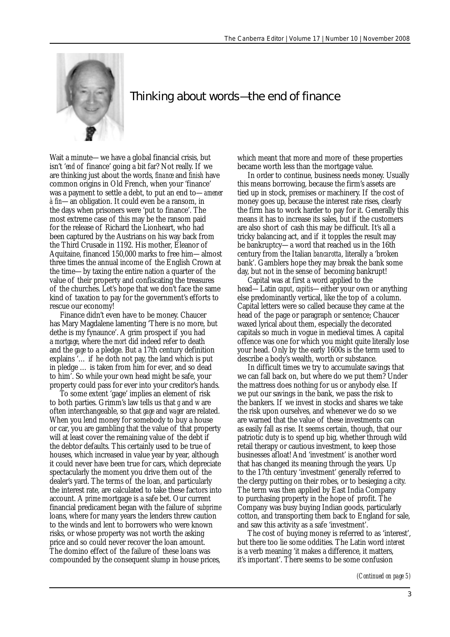

## Thinking about words—the end of finance

Wait a minute—we have a global financial crisis, but isn't '*end* of finance' going a bit far? Not really. If we are thinking just about the words, *finance* and *finish* have common origins in Old French, when your 'finance' was a payment to settle a debt, to put an end to—*amener à fin*—an obligation. It could even be a ransom, in the days when prisoners were 'put to finance'. The most extreme case of this may be the ransom paid for the release of Richard the Lionheart, who had been captured by the Austrians on his way back from the Third Crusade in 1192. His mother, Eleanor of Aquitaine, financed 150,000 marks to free him—almost three times the annual income of the English Crown at the time—by taxing the entire nation a quarter of the value of their property and confiscating the treasures of the churches. Let's hope that we don't face the same kind of taxation to pay for the government's efforts to rescue our economy!

Finance didn't even have to be money. Chaucer has Mary Magdalene lamenting 'There is no more, but dethe is my fynaunce'. A grim prospect if you had a *mortgage*, where the *mort* did indeed refer to death and the *gage* to a pledge. But a 17th century definition explains '… if he doth not pay, the land which is put in pledge … is taken from him for ever, and so dead to him'. So while your own head might be safe, your property could pass for ever into your creditor's hands.

To some extent 'gage' implies an element of risk to both parties. Grimm's law tells us that *g* and *w* are often interchangeable, so that *gage* and *wager* are related. When you lend money for somebody to buy a house or car, you are gambling that the value of that property will at least cover the remaining value of the debt if the debtor defaults. This certainly used to be true of houses, which increased in value year by year, although it could never have been true for cars, which depreciate spectacularly the moment you drive them out of the dealer's yard. The terms of the loan, and particularly the interest rate, are calculated to take these factors into account. A *prime* mortgage is a safe bet. Our current financial predicament began with the failure of *subprime* loans, where for many years the lenders threw caution to the winds and lent to borrowers who were known risks, or whose property was not worth the asking price and so could never recover the loan amount. The domino effect of the failure of these loans was compounded by the consequent slump in house prices,

which meant that more and more of these properties became worth less than the mortgage value.

In order to continue, business needs money. Usually this means borrowing, because the firm's assets are tied up in stock, premises or machinery. If the cost of money goes up, because the interest rate rises, clearly the firm has to work harder to pay for it. Generally this means it has to increase its sales, but if the customers are also short of cash this may be difficult. It's all a tricky balancing act, and if it topples the result may be bankruptcy—a word that reached us in the 16th century from the Italian *bancarotta*, literally a 'broken bank'. Gamblers hope they may break the bank some day, but not in the sense of becoming bankrupt!

Capital was at first a word applied to the head—Latin *caput*, *capitis*—either your own or anything else predominantly vertical, like the top of a column. Capital letters were so called because they came at the head of the page or paragraph or sentence; Chaucer waxed lyrical about them, especially the decorated capitals so much in vogue in medieval times. A capital offence was one for which you might quite literally lose your head. Only by the early 1600s is the term used to describe a body's wealth, worth or substance.

In difficult times we try to accumulate savings that we can fall back on, but where do we put them? Under the mattress does nothing for us or anybody else. If we put our savings in the bank, we pass the risk to the bankers. If we invest in stocks and shares we take the risk upon ourselves, and whenever we do so we are warned that the value of these investments can as easily fall as rise. It seems certain, though, that our patriotic duty is to spend up big, whether through wild retail therapy or cautious investment, to keep those businesses afloat! And 'investment' is another word that has changed its meaning through the years. Up to the 17th century 'investment' generally referred to the clergy putting on their robes, or to besieging a city. The term was then applied by East India Company to purchasing property in the hope of profit. The Company was busy buying Indian goods, particularly cotton, and transporting them back to England for sale, and saw this activity as a safe 'investment'.

The cost of buying money is referred to as 'interest', but there too lie some oddities. The Latin word *interest* is a verb meaning 'it makes a difference, it matters, it's important'. There seems to be some confusion

*(Continued on page 5)*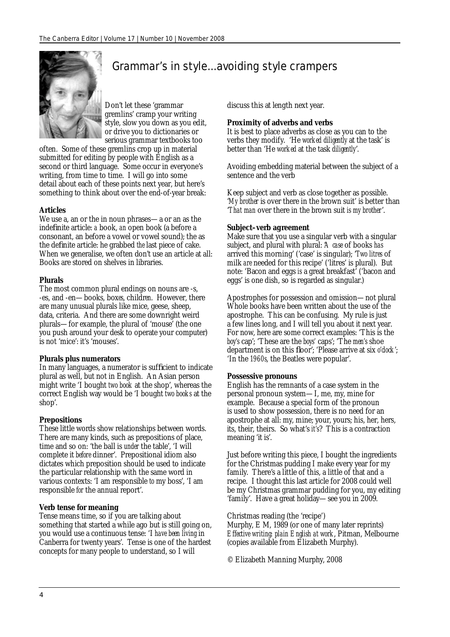

## Grammar's in style...avoiding style crampers

Don't let these 'grammar gremlins' cramp your writing style, slow you down as you edit, or drive you to dictionaries or serious grammar textbooks too

often. Some of these gremlins crop up in material submitted for editing by people with English as a second or third language. Some occur in everyone's writing, from time to time. I will go into some detail about each of these points next year, but here's something to think about over the end-of-year break:

#### **Articles**

We use a, an or the in noun phrases—a or an as the indefinite article: *a* book, *an* open book (a before a consonant, an before a vowel or vowel sound); the as the definite article: he grabbed *the* last piece of cake. When we generalise, we often don't use an article at all: Books are stored on shelves in libraries.

#### **Plurals**

The most common plural endings on nouns are -s, -es, and -en—books, box*es*, childr*en*. However, there are many unusual plurals like mice, geese, sheep, data, criteria. And there are some downright weird plurals—for example, the plural of 'mouse' (the one you push around your desk to operate your computer) is not 'mice': it's 'mouses'.

#### **Plurals plus numerators**

In many languages, a numerator is sufficient to indicate plural as well, but not in English. An Asian person might write 'I bought *two book* at the shop', whereas the correct English way would be 'I bought *two books* at the shop'.

#### **Prepositions**

These little words show relationships between words. There are many kinds, such as prepositions of place, time and so on: 'the ball is *under* the table', 'I will complete it *before* dinner'. Prepositional idiom also dictates which preposition should be used to indicate the particular relationship with the same word in various contexts: 'I am responsible *to* my boss', 'I am responsible *for* the annual report'.

#### **Verb tense for meaning**

Tense means time, so if you are talking about something that started a while ago but is still going on, you would use a continuous tense: 'I *have been living* in Canberra for twenty years'. Tense is one of the hardest concepts for many people to understand, so I will

discuss this at length next year.

#### **Proximity of adverbs and verbs**

It is best to place adverbs as close as you can to the verbs they modify. 'He *worked diligently* at the task' is better than 'He *worked* at the task *diligently*'.

Avoiding embedding material between the subject of a sentence and the verb

Keep subject and verb as close together as possible. '*My brother* is over there in the brown suit' is better than '*That man* over there in the brown suit *is my brother*'.

#### **Subject–verb agreement**

Make sure that you use a singular verb with a singular subject, and plural with plural: '*A case* of books *has* arrived this morning' ('case' is singular); '*Two litres* of milk *are* needed for this recipe' ('litres' is plural). But note: 'Bacon and eggs *is* a great breakfast' ('bacon and eggs' is one dish, so is regarded as singular.)

Apostrophes for possession and omission—not plural Whole books have been written about the use of the apostrophe. This can be confusing. My rule is just a few lines long, and I will tell you about it next year. For now, here are some correct examples: 'This is the *boy's* cap'; 'These are the *boys'* caps'; 'The *men's* shoe department is on this floor'; 'Please arrive at six *o'clock*'; 'In the *1960s*, the Beatles were popular'.

#### **Possessive pronouns**

English has the remnants of a case system in the personal pronoun system—I, me, my, mine for example. Because a special form of the pronoun is used to show possession, there is no need for an apostrophe at all: my, mine; your, yours; his, her, hers, its, their, theirs. So what's *it's*? This is a contraction meaning 'it is'.

Just before writing this piece, I bought the ingredients for the Christmas pudding I make every year for my family. There's a little of this, a little of that and a recipe. I thought this last article for 2008 could well be my Christmas grammar pudding for you, my editing 'family'. Have a great holiday—see you in 2009.

#### Christmas reading (the 'recipe')

Murphy, E M, 1989 (or one of many later reprints) *Effective writing: plain English at work*, Pitman, Melbourne (copies available from Elizabeth Murphy).

© Elizabeth Manning Murphy, 2008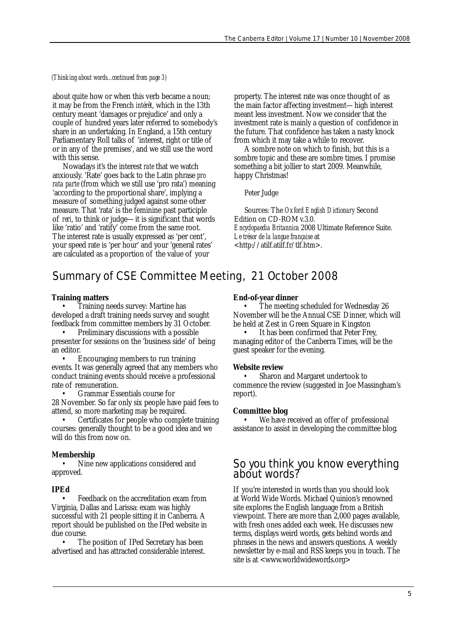#### *(Thinking about words...continued from page 3)*

about quite how or when this verb became a noun; it may be from the French *intérêt*, which in the 13th century meant 'damages or prejudice' and only a couple of hundred years later referred to somebody's share in an undertaking. In England, a 15th century Parliamentary Roll talks of 'interest, right or title of or in any of the premises', and we still use the word with this sense.

Nowadays it's the interest *rate* that we watch anxiously. 'Rate' goes back to the Latin phrase *pro rata parte* (from which we still use 'pro rata') meaning 'according to the proportional share', implying a measure of something judged against some other measure. That 'rata' is the feminine past participle of *reri*, to think or judge—it is significant that words like 'ratio' and 'ratify' come from the same root. The interest rate is usually expressed as 'per cent', your speed rate is 'per hour' and your 'general rates' are calculated as a proportion of the value of your

property. The interest rate was once thought of as the main factor affecting investment—high interest meant less investment. Now we consider that the investment rate is mainly a question of confidence in the future. That confidence has taken a nasty knock from which it may take a while to recover.

A sombre note on which to finish, but this is a sombre topic and these are sombre times. I promise something a bit jollier to start 2009. Meanwhile, happy Christmas!

#### Peter Judge

Sources: The *Oxford English Dictionary* Second Edition on CD-ROM v.3.0. *Encyclopaedia Britannica* 2008 Ultimate Reference Suite. *Le trésor de la langue française* at <http://atilf.atilf.fr/tlf.htm>.

## Summary of CSE Committee Meeting, 21 October 2008

#### **Training matters**

• Training needs survey: Martine has developed a draft training needs survey and sought feedback from committee members by 31 October.

• Preliminary discussions with a possible presenter for sessions on the 'business side' of being an editor.

• Encouraging members to run training events. It was generally agreed that any members who conduct training events should receive a professional rate of remuneration.

• Grammar Essentials course for 28 November. So far only six people have paid fees to attend, so more marketing may be required.

• Certificates for people who complete training courses: generally thought to be a good idea and we will do this from now on.

#### **Membership**

Nine new applications considered and approved.

#### **IPEd**

• Feedback on the accreditation exam from Virginia, Dallas and Larissa: exam was highly successful with 21 people sitting it in Canberra. A report should be published on the IPed website in due course.

The position of IPed Secretary has been advertised and has attracted considerable interest.

#### **End-of-year dinner**

• The meeting scheduled for Wednesday 26 November will be the Annual CSE Dinner, which will be held at Zest in Green Square in Kingston

It has been confirmed that Peter Frey, managing editor of the Canberra Times, will be the guest speaker for the evening.

#### **Website review**

Sharon and Margaret undertook to commence the review (suggested in Joe Massingham's report).

#### **Committee blog**

We have received an offer of professional assistance to assist in developing the committee blog.

# So you think you know everything about words?

If you're interested in words than you should look at World Wide Words. Michael Quinion's renowned site explores the English language from a British viewpoint. There are more than 2,000 pages available, with fresh ones added each week. He discusses new terms, displays weird words, gets behind words and phrases in the news and answers questions. A weekly newsletter by e-mail and RSS keeps you in touch. The site is at <www.worldwidewords.org>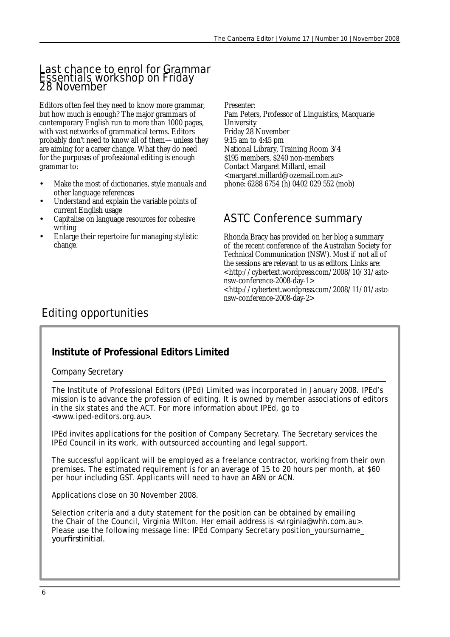## **Last chance to enrol for Grammar** Essentials workshop on Friday 28 November

Editors often feel they need to know more grammar, but how much is enough? The major grammars of contemporary English run to more than 1000 pages, with vast networks of grammatical terms. Editors probably don't need to know all of them-unless they are aiming for a career change. What they do need for the purposes of professional editing is enough grammar to:

- Make the most of dictionaries, style manuals and other language references
- Understand and explain the variable points of current English usage
- Capitalise on language resources for cohesive writing
- Enlarge their repertoire for managing stylistic change.

Presenter:

Pam Peters, Professor of Linguistics, Macquarie **University** Friday 28 November 9:15 am to 4:45 pm National Library, Training Room 3/4 \$195 members, \$240 non-members Contact Margaret Millard, email <margaret.millard@ozemail.com.au> phone: 6288 6754 (h) 0402 029 552 (mob)

## ASTC Conference summary

Rhonda Bracy has provided on her blog a summary of the recent conference of the Australian Society for Technical Communication (NSW). Most if not all of the sessions are relevant to us as editors. Links are: <http://cybertext.wordpress.com/2008/10/31/astcnsw-conference-2008-day-1> <http://cybertext.wordpress.com/2008/11/01/astcnsw-conference-2008-day-2>

## Editing opportunities

## **Institute of Professional Editors Limited**

Company Secretary

The Institute of Professional Editors (IPEd) Limited was incorporated in January 2008. IPEd's mission is to advance the profession of editing. It is owned by member associations of editors in the six states and the ACT. For more information about IPEd, go to <www.iped-editors.org.au>.

IPEd invites applications for the position of Company Secretary. The Secretary services the IPEd Council in its work, with outsourced accounting and legal support.

The successful applicant will be employed as a freelance contractor, working from their own premises. The estimated requirement is for an average of 15 to 20 hours per month, at \$60 per hour including GST. Applicants will need to have an ABN or ACN.

Applications close on 30 November 2008.

Selection criteria and a duty statement for the position can be obtained by emailing the Chair of the Council, Virginia Wilton. Her email address is <virginia@whh.com.au>. Please use the following message line: IPEd Company Secretary position\_yoursurname\_ yourfirstinitial.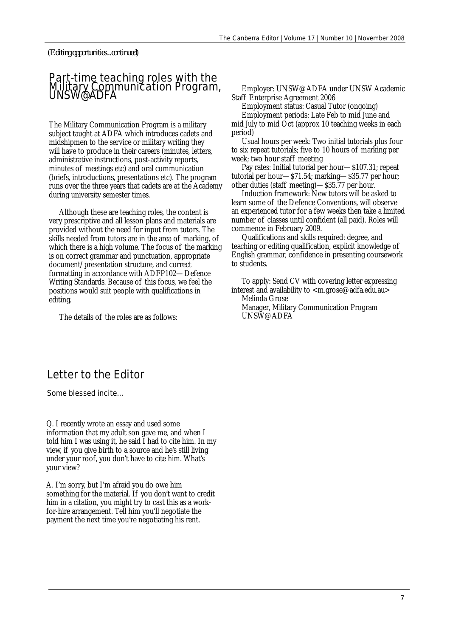*(Editing opportunities...continued)*

#### Part-time teaching roles with the Military Communication Program, UNSW@ADFA

The Military Communication Program is a military subject taught at ADFA which introduces cadets and midshipmen to the service or military writing they will have to produce in their careers (minutes, letters, administrative instructions, post-activity reports, minutes of meetings etc) and oral communication (briefs, introductions, presentations etc). The program runs over the three years that cadets are at the Academy during university semester times.

Although these are teaching roles, the content is very prescriptive and all lesson plans and materials are provided without the need for input from tutors. The skills needed from tutors are in the area of marking, of which there is a high volume. The focus of the marking is on correct grammar and punctuation, appropriate document/presentation structure, and correct formatting in accordance with ADFP102—Defence Writing Standards. Because of this focus, we feel the positions would suit people with qualifications in editing.

The details of the roles are as follows:

Employer: UNSW@ADFA under UNSW Academic Staff Enterprise Agreement 2006

Employment status: Casual Tutor (ongoing)

Employment periods: Late Feb to mid June and mid July to mid Oct (approx 10 teaching weeks in each period)

Usual hours per week: Two initial tutorials plus four to six repeat tutorials; five to 10 hours of marking per week; two hour staff meeting

Pay rates: Initial tutorial per hour—\$107.31; repeat tutorial per hour—\$71.54; marking—\$35.77 per hour; other duties (staff meeting)—\$35.77 per hour.

Induction framework: New tutors will be asked to learn some of the Defence Conventions, will observe an experienced tutor for a few weeks then take a limited number of classes until confident (all paid). Roles will commence in February 2009.

Qualifications and skills required: degree, and teaching or editing qualification, explicit knowledge of English grammar, confidence in presenting coursework to students.

To apply: Send CV with covering letter expressing interest and availability to <m.grose@adfa.edu.au> Melinda Grose Manager, Military Communication Program UNSW@ADFA

## Letter to the Editor

Some blessed incite...

Q. I recently wrote an essay and used some information that my adult son gave me, and when I told him I was using it, he said I had to cite him. In my view, if you give birth to a source and he's still living under your roof, you don't have to cite him. What's your view?

A. I'm sorry, but I'm afraid you do owe him something for the material. If you don't want to credit him in a citation, you might try to cast this as a workfor-hire arrangement. Tell him you'll negotiate the payment the next time you're negotiating his rent.